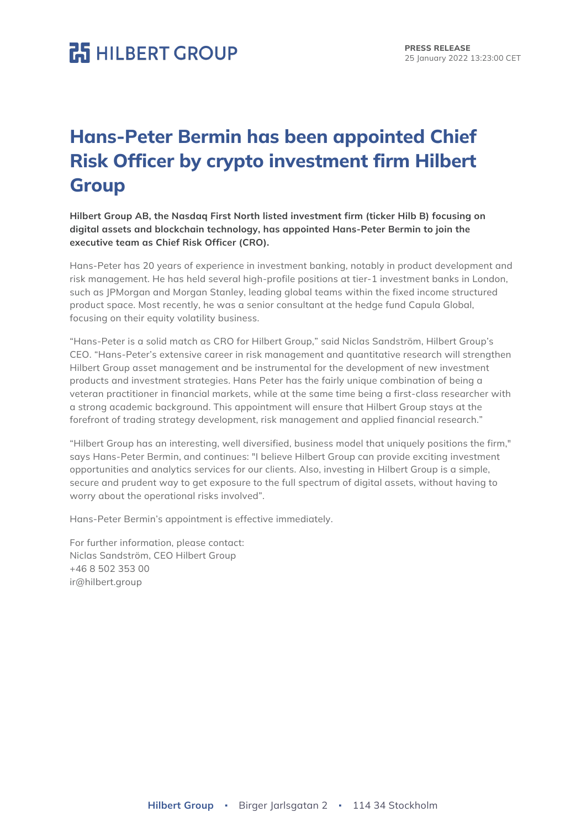## **P.5** HILBERT GROUP

### **Hans-Peter Bermin has been appointed Chief Risk Officer by crypto investment firm Hilbert Group**

**Hilbert Group AB, the Nasdaq First North listed investment firm (ticker Hilb B) focusing on digital assets and blockchain technology, has appointed Hans-Peter Bermin to join the executive team as Chief Risk Officer (CRO).**

Hans-Peter has 20 years of experience in investment banking, notably in product development and risk management. He has held several high-profile positions at tier-1 investment banks in London, such as JPMorgan and Morgan Stanley, leading global teams within the fixed income structured product space. Most recently, he was a senior consultant at the hedge fund Capula Global, focusing on their equity volatility business.

"Hans-Peter is a solid match as CRO for Hilbert Group," said Niclas Sandström, Hilbert Group's CEO. "Hans-Peter's extensive career in risk management and quantitative research will strengthen Hilbert Group asset management and be instrumental for the development of new investment products and investment strategies. Hans Peter has the fairly unique combination of being a veteran practitioner in financial markets, while at the same time being a first-class researcher with a strong academic background. This appointment will ensure that Hilbert Group stays at the forefront of trading strategy development, risk management and applied financial research."

"Hilbert Group has an interesting, well diversified, business model that uniquely positions the firm," says Hans-Peter Bermin, and continues: "I believe Hilbert Group can provide exciting investment opportunities and analytics services for our clients. Also, investing in Hilbert Group is a simple, secure and prudent way to get exposure to the full spectrum of digital assets, without having to worry about the operational risks involved".

Hans-Peter Bermin's appointment is effective immediately.

For further information, please contact: Niclas Sandström, CEO Hilbert Group +46 8 502 353 00 ir@hilbert.group